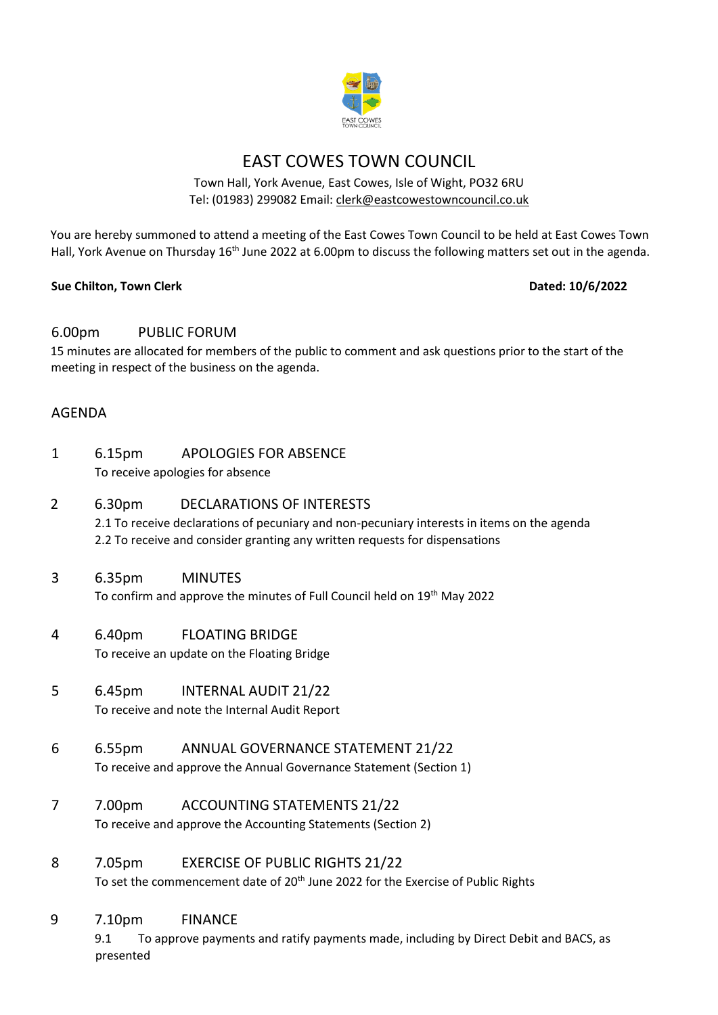

# EAST COWES TOWN COUNCIL

Town Hall, York Avenue, East Cowes, Isle of Wight, PO32 6RU Tel: (01983) 299082 Email: clerk@eastcowestowncouncil.co.uk

You are hereby summoned to attend a meeting of the East Cowes Town Council to be held at East Cowes Town Hall, York Avenue on Thursday 16<sup>th</sup> June 2022 at 6.00pm to discuss the following matters set out in the agenda.

#### **Sue Chilton, Town Clerk Contract Contract Contract Contract Contract Contract Contract Contract Contract Contract Contract Contract Contract Contract Contract Contract Contract Contract Contract Contract Contract Contract**

## 6.00pm PUBLIC FORUM

15 minutes are allocated for members of the public to comment and ask questions prior to the start of the meeting in respect of the business on the agenda.

## AGENDA

- 1 6.15pm APOLOGIES FOR ABSENCE To receive apologies for absence
- 2 6.30pm DECLARATIONS OF INTERESTS 2.1 To receive declarations of pecuniary and non-pecuniary interests in items on the agenda 2.2 To receive and consider granting any written requests for dispensations
- 3 6.35pm MINUTES To confirm and approve the minutes of Full Council held on 19<sup>th</sup> May 2022
- 4 6.40pm FLOATING BRIDGE To receive an update on the Floating Bridge
- 5 6.45pm INTERNAL AUDIT 21/22 To receive and note the Internal Audit Report
- 6 6.55pm ANNUAL GOVERNANCE STATEMENT 21/22 To receive and approve the Annual Governance Statement (Section 1)
- 7 7.00pm ACCOUNTING STATEMENTS 21/22 To receive and approve the Accounting Statements (Section 2)
- 8 7.05pm EXERCISE OF PUBLIC RIGHTS 21/22 To set the commencement date of 20<sup>th</sup> June 2022 for the Exercise of Public Rights

## 9 7.10pm FINANCE

9.1 To approve payments and ratify payments made, including by Direct Debit and BACS, as presented